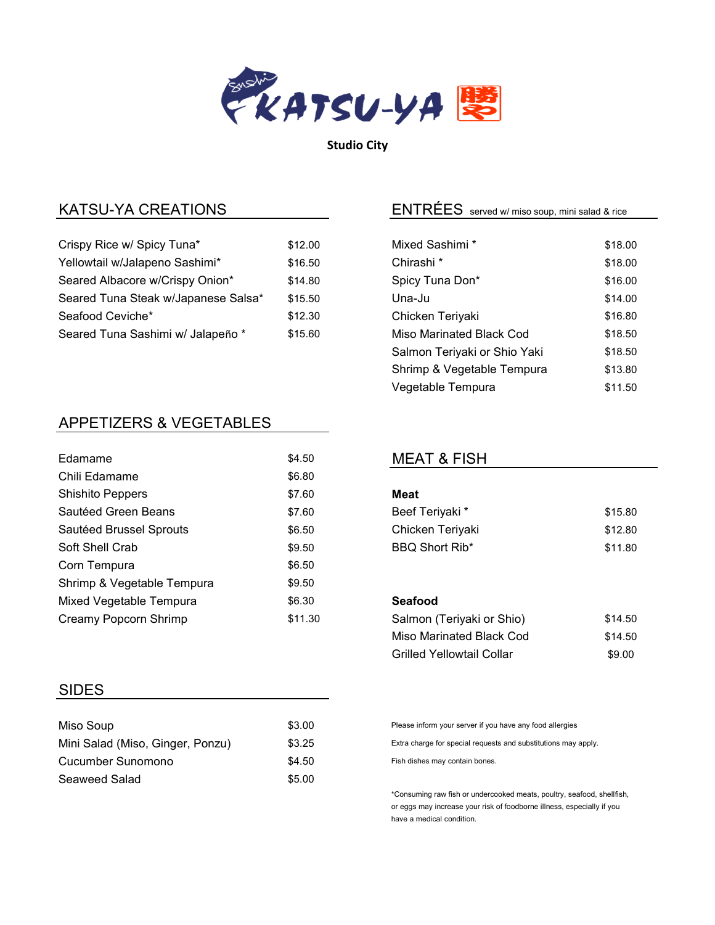

Studio City

| Crispy Rice w/ Spicy Tuna*          | \$12.00 | Mixed Sashimi *          | \$18.00 |
|-------------------------------------|---------|--------------------------|---------|
| Yellowtail w/Jalapeno Sashimi*      | \$16.50 | Chirashi <sup>*</sup>    | \$18.00 |
| Seared Albacore w/Crispy Onion*     | \$14.80 | Spicy Tuna Don*          | \$16.00 |
| Seared Tuna Steak w/Japanese Salsa* | \$15.50 | Una-Ju                   | \$14.00 |
| Seafood Ceviche*                    | \$12.30 | Chicken Teriyaki         | \$16.80 |
| Seared Tuna Sashimi w/ Jalapeño *   | \$15.60 | Miso Marinated Black Cod | \$18.50 |

# APPETIZERS & VEGETABLES

| Edamame                    | \$4.50  |
|----------------------------|---------|
| Chili Edamame              | \$6.80  |
| <b>Shishito Peppers</b>    | \$7.60  |
| Sautéed Green Beans        | \$7.60  |
| Sautéed Brussel Sprouts    | \$6.50  |
| Soft Shell Crab            | \$9.50  |
| Corn Tempura               | \$6.50  |
| Shrimp & Vegetable Tempura | \$9.50  |
| Mixed Vegetable Tempura    | \$6.30  |
| Creamy Popcorn Shrimp      | \$11.30 |
|                            |         |

# SIDES

| Miso Soup                        | \$3.00 |
|----------------------------------|--------|
| Mini Salad (Miso, Ginger, Ponzu) | \$3.25 |
| Cucumber Sunomono                | \$4.50 |
| Seaweed Salad                    | \$5.00 |

# KATSU-YA CREATIONS <u>entitled and the served w/ miso soup, mini salad & rice</u>

| Mixed Sashimi *              | \$18.00 |
|------------------------------|---------|
| Chirashi <sup>*</sup>        | \$18.00 |
| Spicy Tuna Don*              | \$16.00 |
| Una-Ju                       | \$14.00 |
| Chicken Teriyaki             | \$16.80 |
| Miso Marinated Black Cod     | \$18.50 |
| Salmon Teriyaki or Shio Yaki | \$18.50 |
| Shrimp & Vegetable Tempura   | \$13.80 |
| Vegetable Tempura            | \$11.50 |

### MEAT & FISH

| Meat             |         |
|------------------|---------|
| Beef Teriyaki *  | \$15.80 |
| Chicken Teriyaki | \$12.80 |
| BBQ Short Rib*   | \$11.80 |

### Seafood

| Salmon (Teriyaki or Shio)        | \$14.50 |
|----------------------------------|---------|
| Miso Marinated Black Cod         | \$14.50 |
| <b>Grilled Yellowtail Collar</b> | \$9.00  |

Please inform your server if you have any food allergies

Extra charge for special requests and substitutions may apply.

Fish dishes may contain bones.

\*Consuming raw fish or undercooked meats, poultry, seafood, shellfish, or eggs may increase your risk of foodborne illness, especially if you have a medical condition.